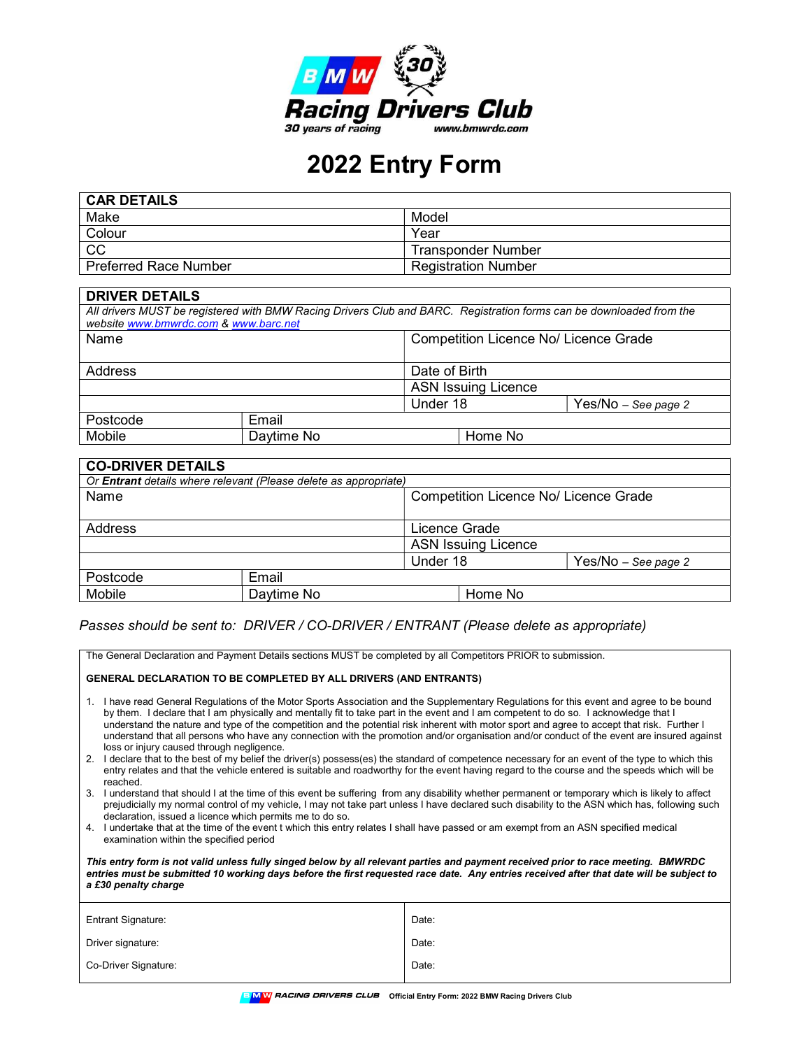

## 2022 Entry Form

| CAR DETAILS                  |                            |
|------------------------------|----------------------------|
| Make                         | Model                      |
| Colour                       | Year                       |
| CC                           | <b>Transponder Number</b>  |
| <b>Preferred Race Number</b> | <b>Registration Number</b> |

| <b>DRIVER DETAILS</b>                                                                                                                                        |            |               |                                       |  |  |
|--------------------------------------------------------------------------------------------------------------------------------------------------------------|------------|---------------|---------------------------------------|--|--|
| All drivers MUST be registered with BMW Racing Drivers Club and BARC. Registration forms can be downloaded from the<br>website www.bmwrdc.com & www.barc.net |            |               |                                       |  |  |
| Name                                                                                                                                                         |            |               | Competition Licence No/ Licence Grade |  |  |
| Address                                                                                                                                                      |            | Date of Birth |                                       |  |  |
|                                                                                                                                                              |            |               | <b>ASN Issuing Licence</b>            |  |  |
|                                                                                                                                                              |            | Under 18      | Yes/No - See page 2                   |  |  |
| Postcode                                                                                                                                                     | Email      |               |                                       |  |  |
| Mobile                                                                                                                                                       | Daytime No | Home No       |                                       |  |  |

| <b>CO-DRIVER DETAILS</b>                                                |            |                                       |                       |
|-------------------------------------------------------------------------|------------|---------------------------------------|-----------------------|
| Or <b>Entrant</b> details where relevant (Please delete as appropriate) |            |                                       |                       |
| Name                                                                    |            | Competition Licence No/ Licence Grade |                       |
| Address                                                                 |            | Licence Grade                         |                       |
|                                                                         |            | <b>ASN Issuing Licence</b>            |                       |
|                                                                         |            | Under 18                              | $Yes/No - See page 2$ |
| Postcode                                                                | Email      |                                       |                       |
| Mobile                                                                  | Daytime No |                                       | Home No               |

## Passes should be sent to: DRIVER / CO-DRIVER / ENTRANT (Please delete as appropriate)

The General Declaration and Payment Details sections MUST be completed by all Competitors PRIOR to submission.

| <b>GENERAL DECLARATION TO BE COMPLETED BY ALL DRIVERS (AND ENTRANTS)</b>                                                                                                                                                                                                                                                                                                                                                                                                                                                                                                                                                    |       |  |  |
|-----------------------------------------------------------------------------------------------------------------------------------------------------------------------------------------------------------------------------------------------------------------------------------------------------------------------------------------------------------------------------------------------------------------------------------------------------------------------------------------------------------------------------------------------------------------------------------------------------------------------------|-------|--|--|
| 1. I have read General Regulations of the Motor Sports Association and the Supplementary Regulations for this event and agree to be bound<br>by them. I declare that I am physically and mentally fit to take part in the event and I am competent to do so. I acknowledge that I<br>understand the nature and type of the competition and the potential risk inherent with motor sport and agree to accept that risk. Further I<br>understand that all persons who have any connection with the promotion and/or organisation and/or conduct of the event are insured against<br>loss or injury caused through negligence. |       |  |  |
| 2. I declare that to the best of my belief the driver(s) possess(es) the standard of competence necessary for an event of the type to which this<br>entry relates and that the vehicle entered is suitable and roadworthy for the event having regard to the course and the speeds which will be<br>reached.                                                                                                                                                                                                                                                                                                                |       |  |  |
| I understand that should I at the time of this event be suffering from any disability whether permanent or temporary which is likely to affect<br>3.<br>prejudicially my normal control of my vehicle, I may not take part unless I have declared such disability to the ASN which has, following such<br>declaration, issued a licence which permits me to do so.                                                                                                                                                                                                                                                          |       |  |  |
| 4. I undertake that at the time of the event t which this entry relates I shall have passed or am exempt from an ASN specified medical<br>examination within the specified period                                                                                                                                                                                                                                                                                                                                                                                                                                           |       |  |  |
| This entry form is not valid unless fully singed below by all relevant parties and payment received prior to race meeting. BMWRDC<br>entries must be submitted 10 working days before the first requested race date. Any entries received after that date will be subject to<br>a £30 penalty charge                                                                                                                                                                                                                                                                                                                        |       |  |  |
| <b>Entrant Signature:</b>                                                                                                                                                                                                                                                                                                                                                                                                                                                                                                                                                                                                   | Date: |  |  |
| Driver signature:                                                                                                                                                                                                                                                                                                                                                                                                                                                                                                                                                                                                           | Date: |  |  |
| Co-Driver Signature:<br>Date:                                                                                                                                                                                                                                                                                                                                                                                                                                                                                                                                                                                               |       |  |  |